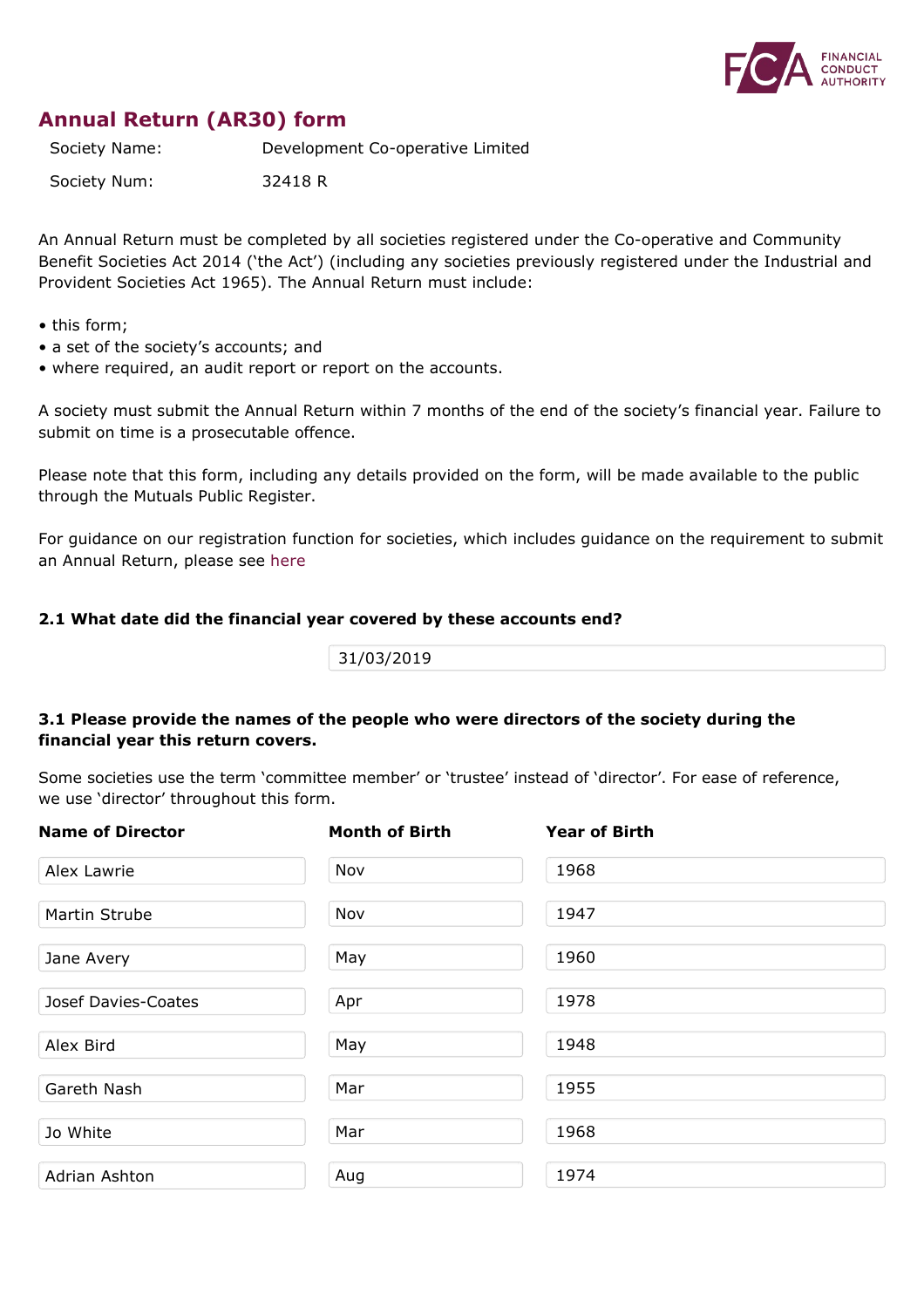

# **Annual Return (AR30) form**

Society Name: Development Co-operative Limited

Society Num: 32418 R

An Annual Return must be completed by all societies registered under the Co-operative and Community Benefit Societies Act 2014 ('the Act') (including any societies previously registered under the Industrial and Provident Societies Act 1965). The Annual Return must include:

- this form;
- a set of the society's accounts; and
- where required, an audit report or report on the accounts.

A society must submit the Annual Return within 7 months of the end of the society's financial year. Failure to submit on time is a prosecutable offence.

Please note that this form, including any details provided on the form, will be made available to the public through the Mutuals Public Register.

For guidance on our registration function for societies, which includes guidance on the requirement to submit an Annual Return, please see [here](https://www.fca.org.uk/publication/finalised-guidance/fg15-12.pdf)

## **2.1 What date did the financial year covered by these accounts end?**

31/03/2019

## **3.1 Please provide the names of the people who were directors of the society during the financial year this return covers.**

Some societies use the term 'committee member' or 'trustee' instead of 'director'. For ease of reference, we use 'director' throughout this form.

| <b>Name of Director</b> | <b>Month of Birth</b> | <b>Year of Birth</b> |
|-------------------------|-----------------------|----------------------|
| Alex Lawrie             | Nov                   | 1968                 |
| Martin Strube           | Nov                   | 1947                 |
| Jane Avery              | May                   | 1960                 |
| Josef Davies-Coates     | Apr                   | 1978                 |
| Alex Bird               | May                   | 1948                 |
| Gareth Nash             | Mar                   | 1955                 |
| Jo White                | Mar                   | 1968                 |
| Adrian Ashton           | Aug                   | 1974                 |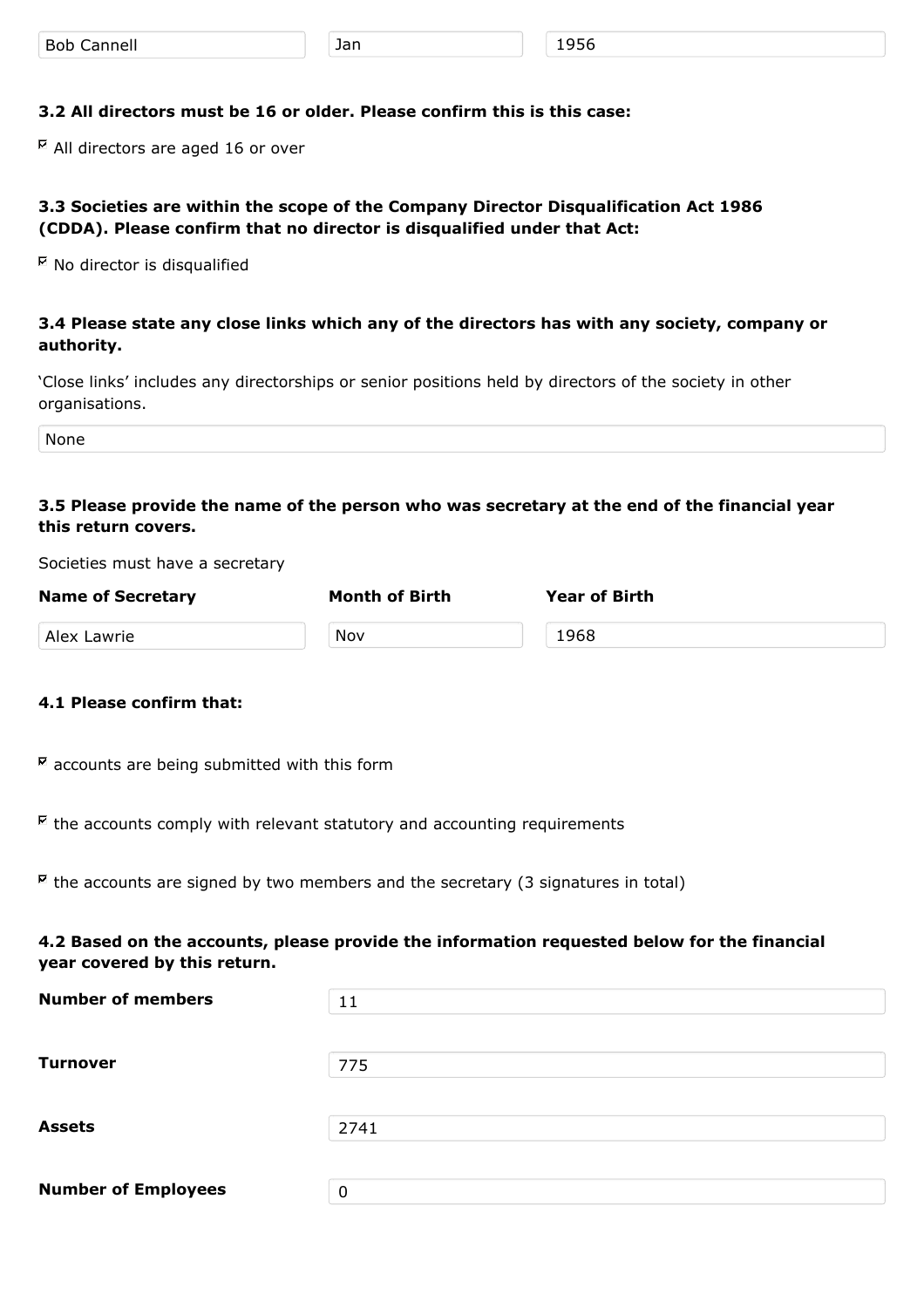## **3.2 All directors must be 16 or older. Please confirm this is this case:**

 $\overline{P}$  All directors are aged 16 or over

## **3.3 Societies are within the scope of the Company Director Disqualification Act 1986 (CDDA). Please confirm that no director is disqualified under that Act:**

 $^{\boxtimes}$  No director is disqualified

## **3.4 Please state any close links which any of the directors has with any society, company or authority.**

'Close links' includes any directorships or senior positions held by directors of the society in other organisations.

None

## **3.5 Please provide the name of the person who was secretary at the end of the financial year this return covers.**

Societies must have a secretary

| <b>Name of Secretary</b> | <b>Month of Birth</b> | <b>Year of Birth</b> |
|--------------------------|-----------------------|----------------------|
| Alex Lawrie              | Nov                   | 1968                 |

## **4.1 Please confirm that:**

 $\overline{K}$  accounts are being submitted with this form

 $\mathbb E$  the accounts comply with relevant statutory and accounting requirements

 $\overline{R}$  the accounts are signed by two members and the secretary (3 signatures in total)

## **4.2 Based on the accounts, please provide the information requested below for the financial year covered by this return.**

| 11   |
|------|
|      |
| 775  |
|      |
| 2741 |
|      |
| 0    |
|      |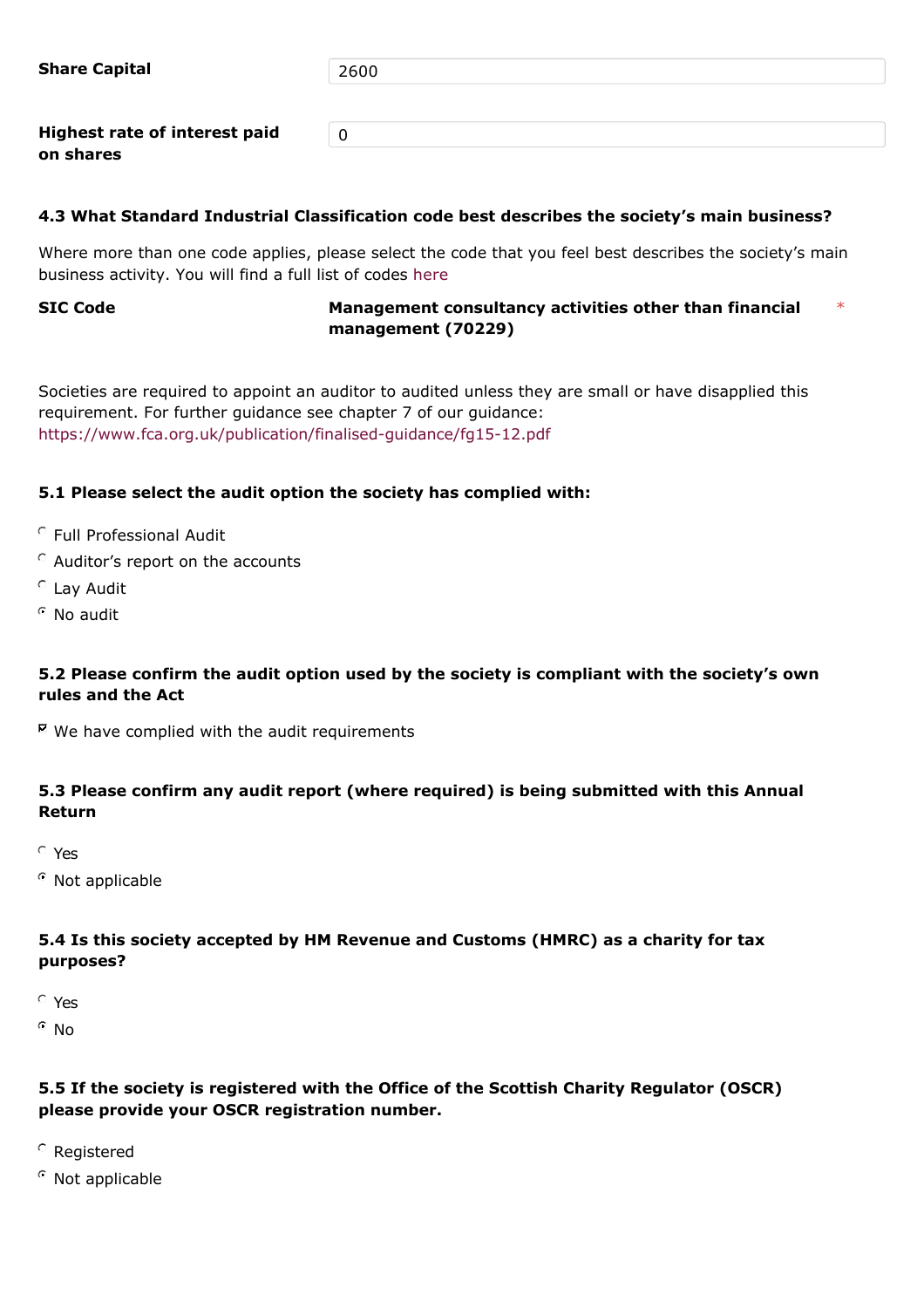**Share Capital** 2600

0

**Highest rate of interest paid on shares**

# **4.3 What Standard Industrial Classification code best describes the society's main business?**

Where more than one code applies, please select the code that you feel best describes the society's main business activity. You will find a full list of codes [here](http://resources.companieshouse.gov.uk/sic/)

#### **SIC Code Management consultancy activities other than financial management (70229)** \*

Societies are required to appoint an auditor to audited unless they are small or have disapplied this requirement. For further guidance see chapter 7 of our guidance: <https://www.fca.org.uk/publication/finalised-guidance/fg15-12.pdf>

# **5.1 Please select the audit option the society has complied with:**

- Full Professional Audit
- $\degree$  Auditor's report on the accounts
- Lay Audit
- $^{\circ}$  No audit

# **5.2 Please confirm the audit option used by the society is compliant with the society's own rules and the Act**

 $E$  We have complied with the audit requirements

# **5.3 Please confirm any audit report (where required) is being submitted with this Annual Return**

Yes

 $\Omega$  Not applicable

## **5.4 Is this society accepted by HM Revenue and Customs (HMRC) as a charity for tax purposes?**

Yes

 $^{\circ}$  No

# **5.5 If the society is registered with the Office of the Scottish Charity Regulator (OSCR) please provide your OSCR registration number.**

- Registered
- $\degree$  Not applicable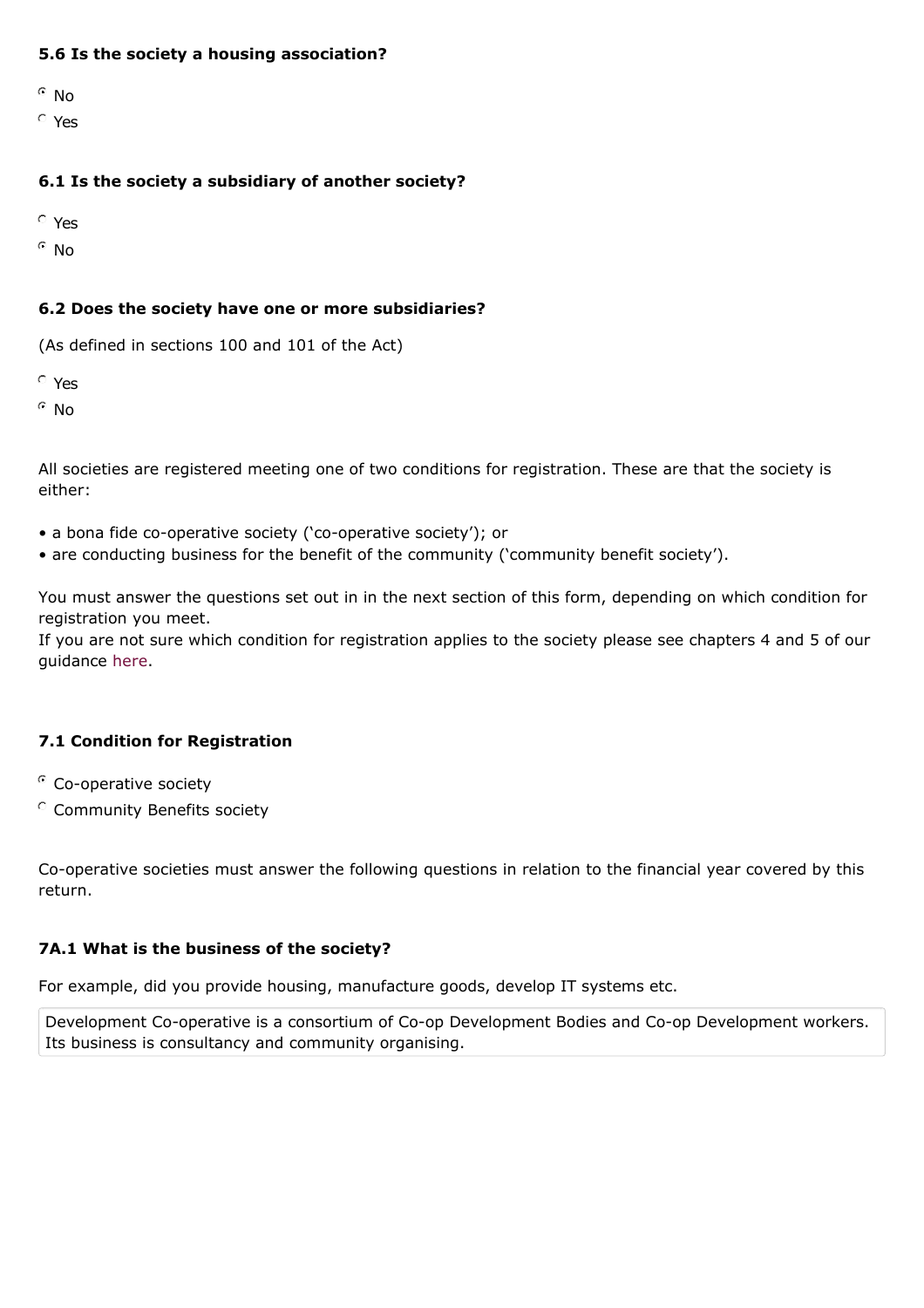## **5.6 Is the society a housing association?**

 $\degree$  No

Yes

## **6.1 Is the society a subsidiary of another society?**

Yes

 $^{\circ}$  No

## **6.2 Does the society have one or more subsidiaries?**

(As defined in sections 100 and 101 of the Act)

Yes

 $^{\circ}$  No

All societies are registered meeting one of two conditions for registration. These are that the society is either:

- a bona fide co-operative society ('co-operative society'); or
- are conducting business for the benefit of the community ('community benefit society').

You must answer the questions set out in in the next section of this form, depending on which condition for registration you meet.

If you are not sure which condition for registration applies to the society please see chapters 4 and 5 of our guidance [here](https://www.fca.org.uk/publication/finalised-guidance/fg15-12.pdf).

## **7.1 Condition for Registration**

- <sup>C</sup> Co-operative society
- Community Benefits society

Co-operative societies must answer the following questions in relation to the financial year covered by this return.

## **7A.1 What is the business of the society?**

For example, did you provide housing, manufacture goods, develop IT systems etc.

Development Co-operative is a consortium of Co-op Development Bodies and Co-op Development workers. Its business is consultancy and community organising.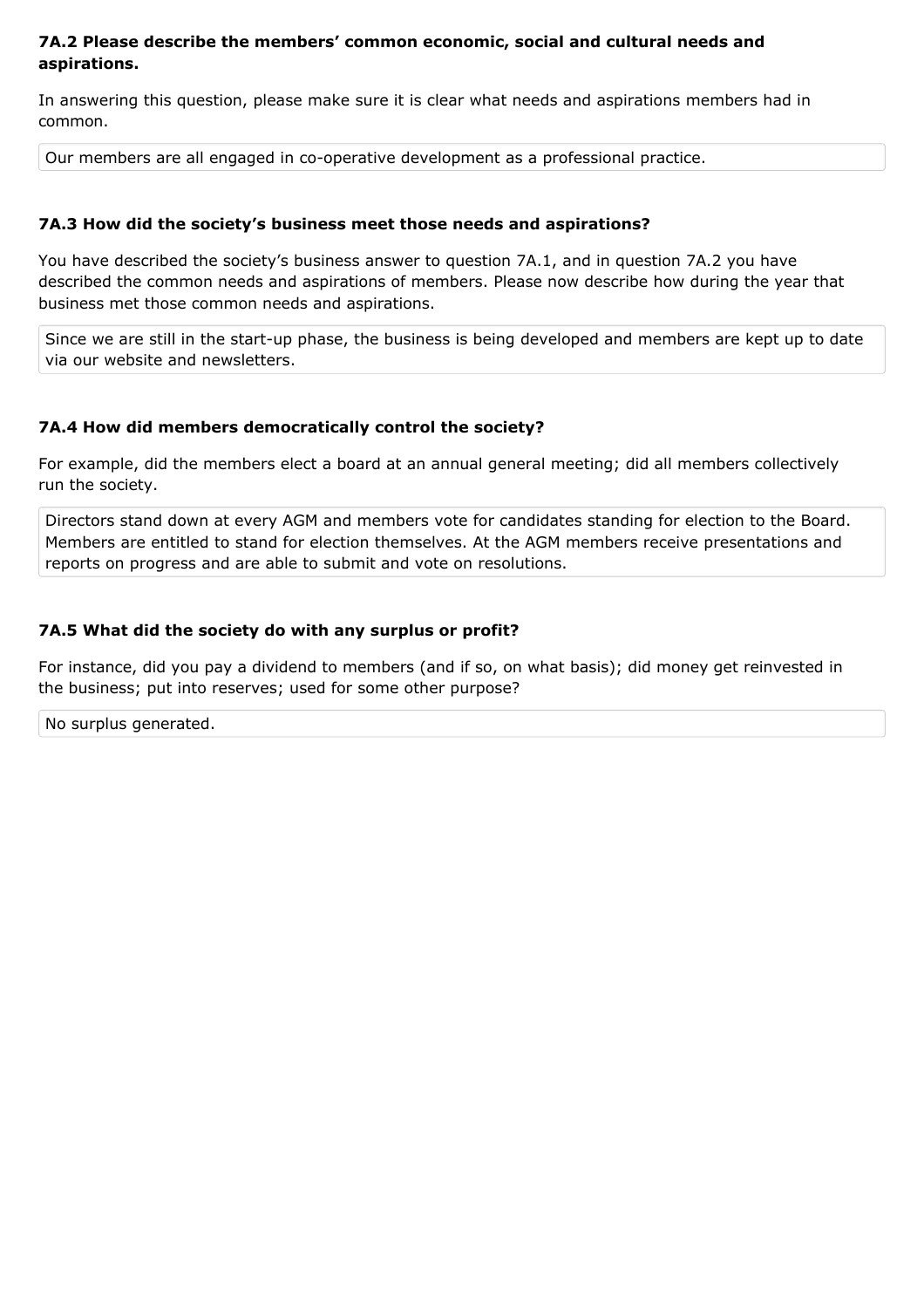## **7A.2 Please describe the members' common economic, social and cultural needs and aspirations.**

In answering this question, please make sure it is clear what needs and aspirations members had in common.

Our members are all engaged in co-operative development as a professional practice.

## **7A.3 How did the society's business meet those needs and aspirations?**

You have described the society's business answer to question 7A.1, and in question 7A.2 you have described the common needs and aspirations of members. Please now describe how during the year that business met those common needs and aspirations.

Since we are still in the start-up phase, the business is being developed and members are kept up to date via our website and newsletters.

## **7A.4 How did members democratically control the society?**

For example, did the members elect a board at an annual general meeting; did all members collectively run the society.

Directors stand down at every AGM and members vote for candidates standing for election to the Board. Members are entitled to stand for election themselves. At the AGM members receive presentations and reports on progress and are able to submit and vote on resolutions.

## **7A.5 What did the society do with any surplus or profit?**

For instance, did you pay a dividend to members (and if so, on what basis); did money get reinvested in the business; put into reserves; used for some other purpose?

No surplus generated.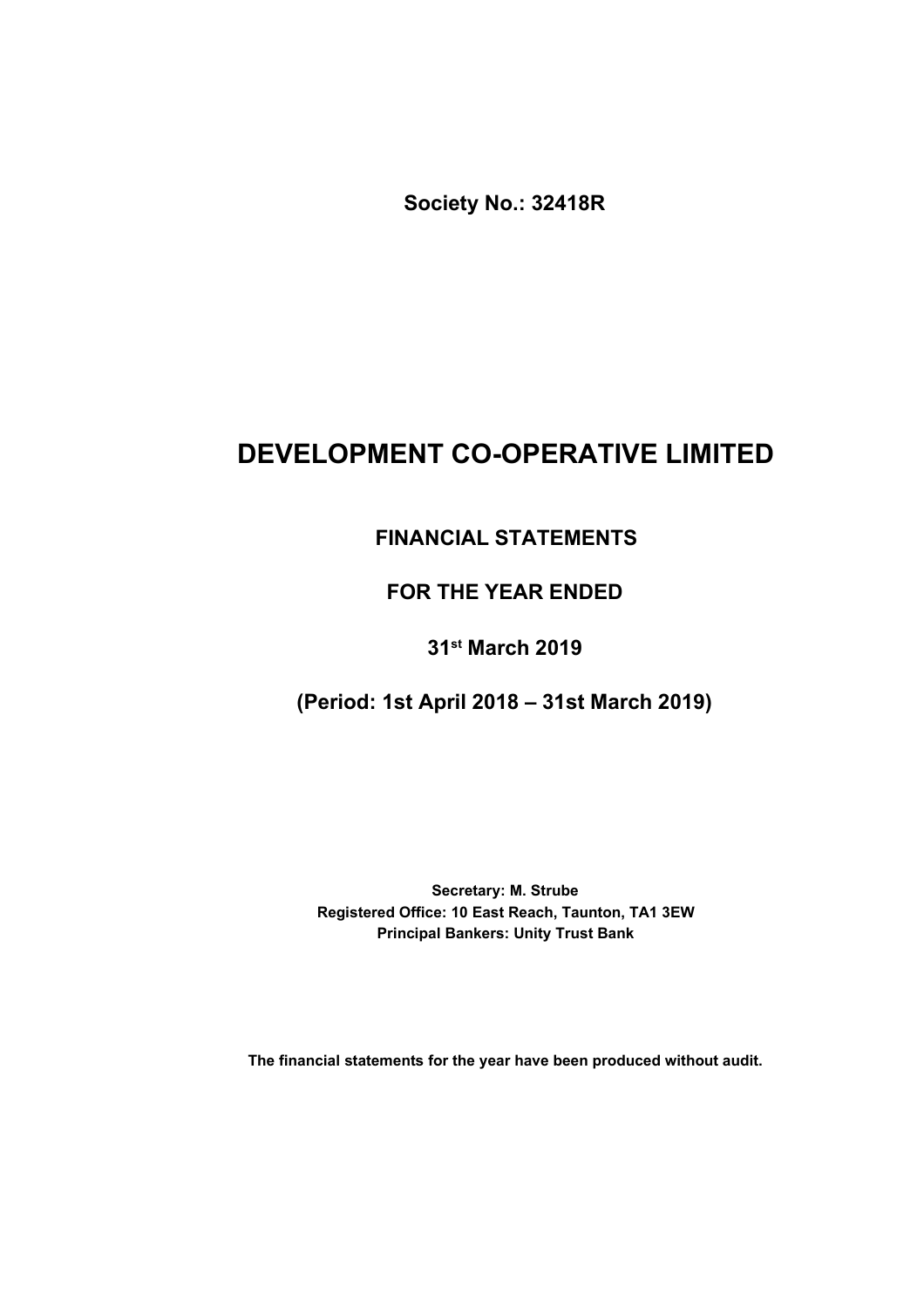**Society No.: 32418R**

# **DEVELOPMENT CO-OPERATIVE LIMITED**

# **FINANCIAL STATEMENTS**

# **FOR THE YEAR ENDED**

# **31st March 2019**

# **(Period: 1st April 2018 – 31st March 2019)**

**Principal Bankers: Unity Trust Bank Secretary: M. Strube Registered Office: 10 East Reach, Taunton, TA1 3EW**

**The financial statements for the year have been produced without audit.**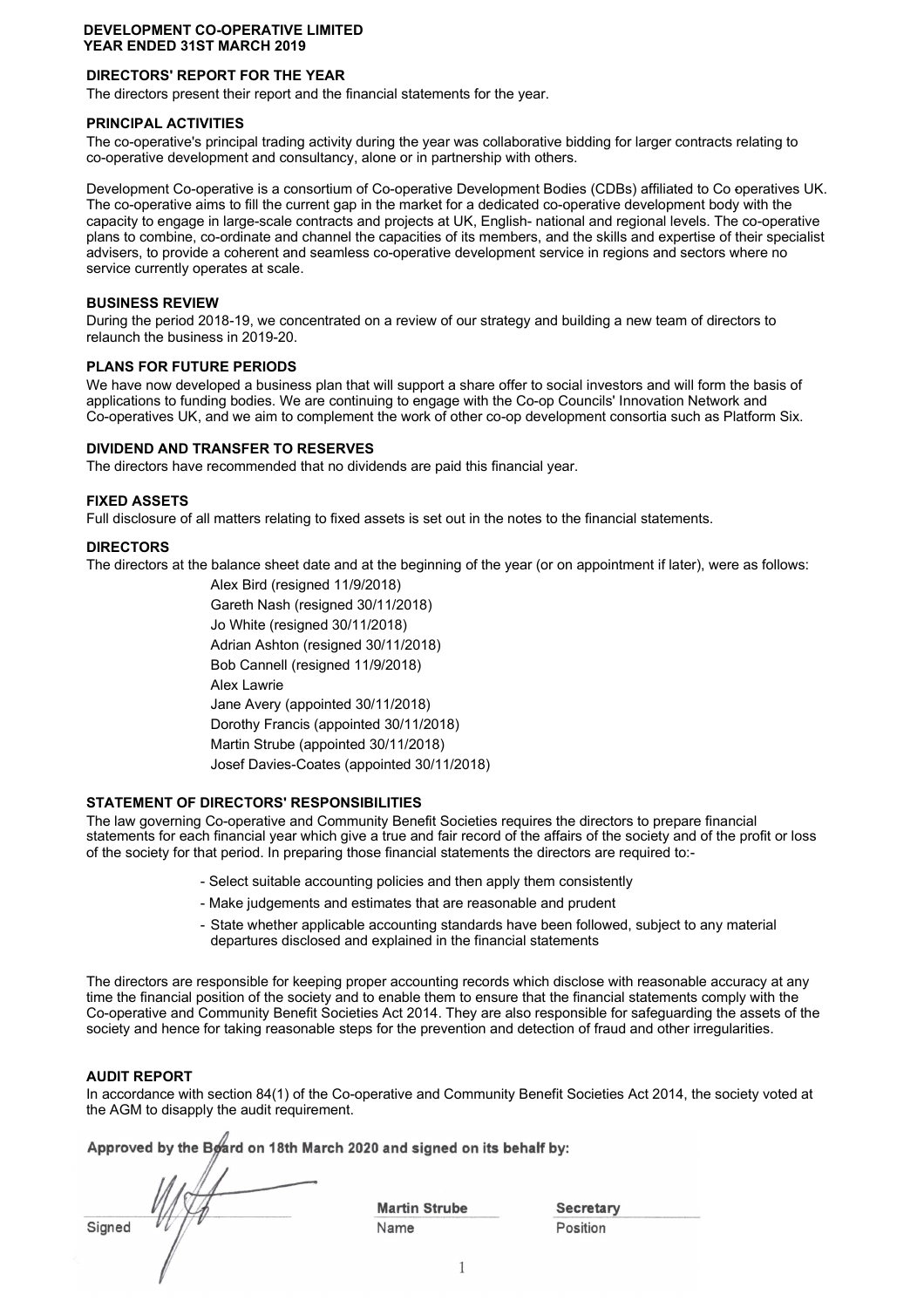## **DIRECTORS' REPORT FOR THE YEAR**

The directors present their report and the financial statements for the year.

#### **PRINCIPAL ACTIVITIES**

The co-operative's principal trading activity during the year was collaborative bidding for larger contracts relating to co-operative development and consultancy, alone or in partnership with others.

Development Co-operative is a consortium of Co-operative Development Bodies (CDBs) affiliated to Co operatives UK. The co-operative aims to fill the current gap in the market for a dedicated co-operative development body with the capacity to engage in large-scale contracts and projects at UK, English- national and regional levels. The co-operative plans to combine, co-ordinate and channel the capacities of its members, and the skills and expertise of their specialist advisers, to provide a coherent and seamless co-operative development service in regions and sectors where no service currently operates at scale.

#### **BUSINESS REVIEW**

During the period 2018-19, we concentrated on a review of our strategy and building a new team of directors to relaunch the business in 2019-20.

## **PLANS FOR FUTURE PERIODS**

We have now developed a business plan that will support a share offer to social investors and will form the basis of applications to funding bodies. We are continuing to engage with the Co-op Councils' Innovation Network and Co-operatives UK, and we aim to complement the work of other co-op development consortia such as Platform Six.

#### **DIVIDEND AND TRANSFER TO RESERVES**

The directors have recommended that no dividends are paid this financial year.

#### **FIXED ASSETS**

Full disclosure of all matters relating to fixed assets is set out in the notes to the financial statements.

#### **DIRECTORS**

The directors at the balance sheet date and at the beginning of the year (or on appointment if later), were as follows:

Alex Bird (resigned 11/9/2018) Gareth Nash (resigned 30/11/2018) Jo White (resigned 30/11/2018) Adrian Ashton (resigned 30/11/2018) Alex Lawrie Jane Avery (appointed 30/11/2018) Dorothy Francis (appointed 30/11/2018) Josef Davies-Coates (appointed 30/11/2018) Bob Cannell (resigned 11/9/2018) Martin Strube (appointed 30/11/2018)

## **STATEMENT OF DIRECTORS' RESPONSIBILITIES**

The law governing Co-operative and Community Benefit Societies requires the directors to prepare financial statements for each financial year which give a true and fair record of the affairs of the society and of the profit or loss of the society for that period. In preparing those financial statements the directors are required to:-

- Select suitable accounting policies and then apply them consistently
- Make judgements and estimates that are reasonable and prudent
- State whether applicable accounting standards have been followed, subject to any material departures disclosed and explained in the financial statements

The directors are responsible for keeping proper accounting records which disclose with reasonable accuracy at any time the financial position of the society and to enable them to ensure that the financial statements comply with the Co-operative and Community Benefit Societies Act 2014. They are also responsible for safeguarding the assets of the society and hence for taking reasonable steps for the prevention and detection of fraud and other irregularities.

## **AUDIT REPORT**

In accordance with section 84(1) of the Co-operative and Community Benefit Societies Act 2014, the society voted at the AGM to disapply the audit requirement.

**Approved by the Board on 18th March 2020 and signed on its behalf by:**

Signed  $V/f$  Name Position

**Martin Strube**

**Secretary**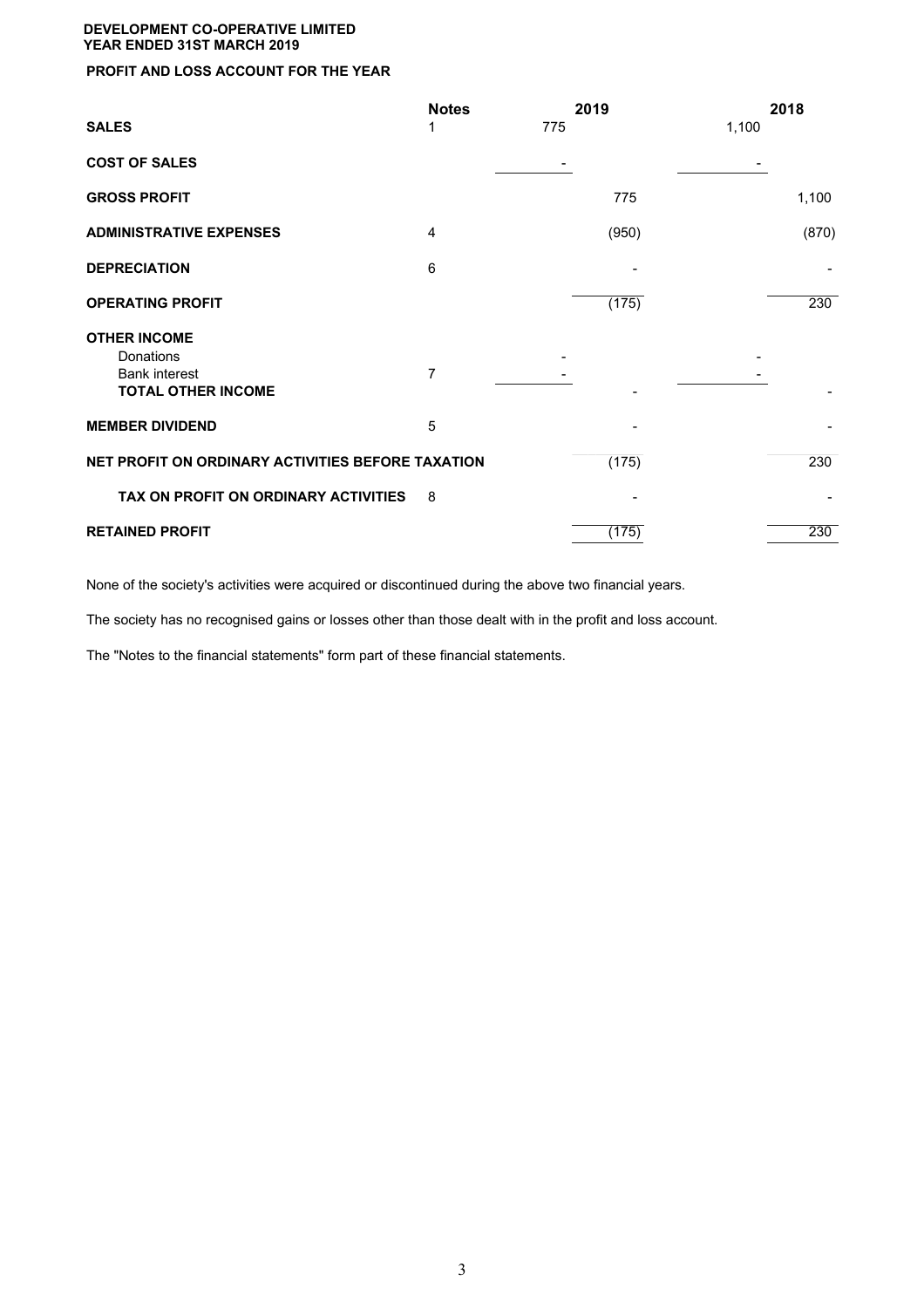## **PROFIT AND LOSS ACCOUNT FOR THE YEAR**

|                                                                                       | <b>Notes</b> | 2019  | 2018  |
|---------------------------------------------------------------------------------------|--------------|-------|-------|
| <b>SALES</b>                                                                          | 1            | 775   | 1,100 |
| <b>COST OF SALES</b>                                                                  |              |       |       |
| <b>GROSS PROFIT</b>                                                                   |              | 775   | 1,100 |
| <b>ADMINISTRATIVE EXPENSES</b>                                                        | 4            | (950) | (870) |
| <b>DEPRECIATION</b>                                                                   | 6            |       |       |
| <b>OPERATING PROFIT</b>                                                               |              | (175) | 230   |
| <b>OTHER INCOME</b><br>Donations<br><b>Bank interest</b><br><b>TOTAL OTHER INCOME</b> | 7            |       |       |
| <b>MEMBER DIVIDEND</b>                                                                | 5            |       |       |
| NET PROFIT ON ORDINARY ACTIVITIES BEFORE TAXATION                                     |              | (175) | 230   |
| TAX ON PROFIT ON ORDINARY ACTIVITIES                                                  | 8            |       |       |
| <b>RETAINED PROFIT</b>                                                                |              | (175) | 230   |

None of the society's activities were acquired or discontinued during the above two financial years.

The society has no recognised gains or losses other than those dealt with in the profit and loss account.

The "Notes to the financial statements" form part of these financial statements.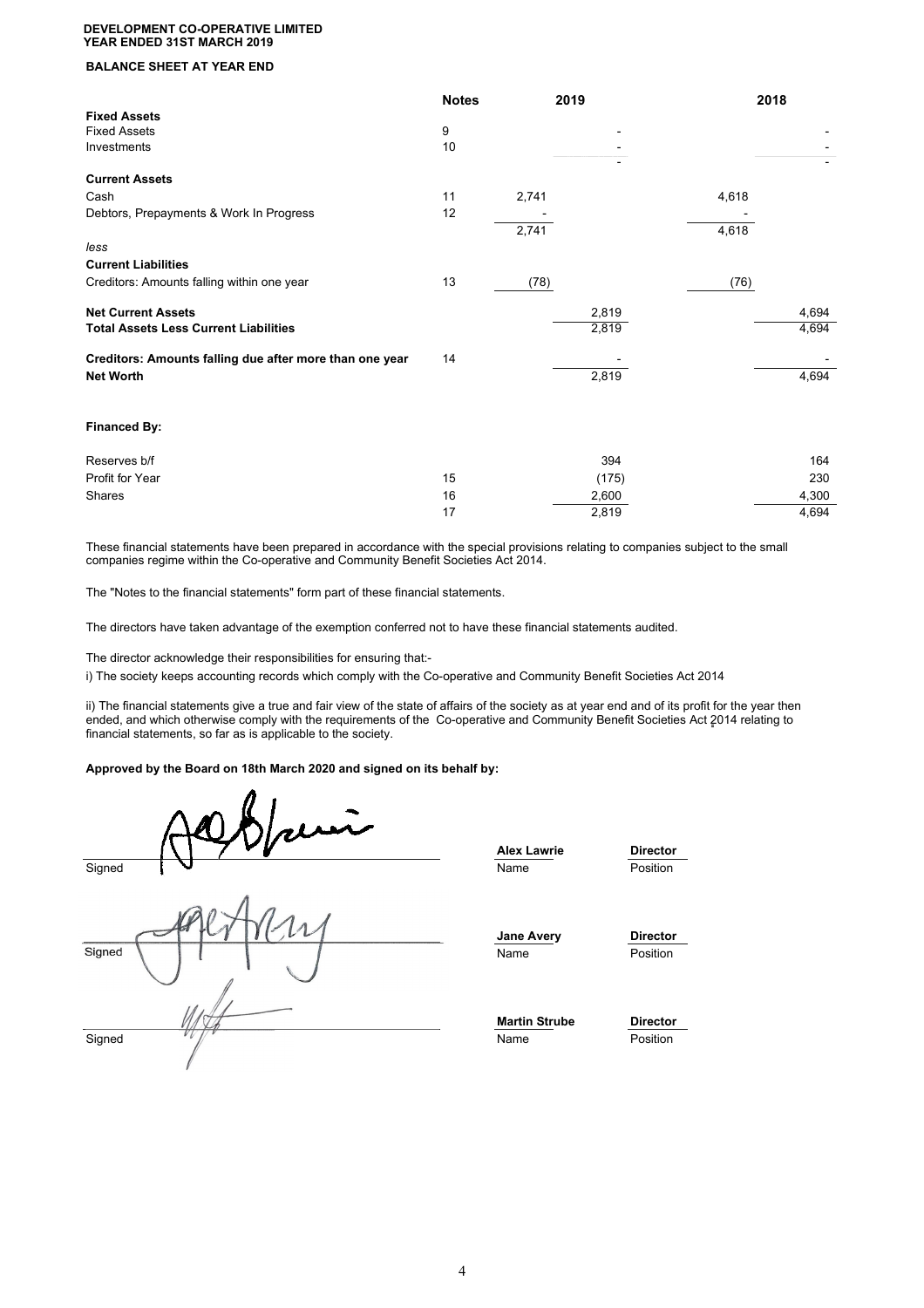## **BALANCE SHEET AT YEAR END**

|                                                         | <b>Notes</b> | 2019  | 2018  |
|---------------------------------------------------------|--------------|-------|-------|
| <b>Fixed Assets</b>                                     |              |       |       |
| <b>Fixed Assets</b>                                     | 9            |       |       |
| Investments                                             | 10           |       |       |
| <b>Current Assets</b>                                   |              |       |       |
|                                                         |              |       |       |
| Cash                                                    | 11           | 2,741 | 4,618 |
| Debtors, Prepayments & Work In Progress                 | 12           |       |       |
|                                                         |              | 2,741 | 4,618 |
| less                                                    |              |       |       |
| <b>Current Liabilities</b>                              |              |       |       |
| Creditors: Amounts falling within one year              | 13           | (78)  | (76)  |
| <b>Net Current Assets</b>                               |              | 2,819 | 4,694 |
| <b>Total Assets Less Current Liabilities</b>            |              | 2,819 | 4,694 |
| Creditors: Amounts falling due after more than one year | 14           |       |       |
| <b>Net Worth</b>                                        |              | 2,819 | 4,694 |
|                                                         |              |       |       |
| <b>Financed By:</b>                                     |              |       |       |
| Reserves b/f                                            |              | 394   | 164   |
| Profit for Year                                         | 15           | (175) | 230   |
| <b>Shares</b>                                           | 16           | 2,600 | 4,300 |
|                                                         | 17           | 2,819 | 4,694 |
|                                                         |              |       |       |

These financial statements have been prepared in accordance with the special provisions relating to companies subject to the small companies regime within the Co-operative and Community Benefit Societies Act 2014.

The "Notes to the financial statements" form part of these financial statements.

The directors have taken advantage of the exemption conferred not to have these financial statements audited.

The director acknowledge their responsibilities for ensuring that:-

i) The society keeps accounting records which comply with the Co-operative and Community Benefit Societies Act 2014

ii) The financial statements give a true and fair view of the state of affairs of the society as at year end and of its profit for the year then ended, and which otherwise comply with the requirements of the Co-operative and Community Benefit Societies Act 2014 relating to financial statements, so far as is applicable to the society.

#### **Approved by the Board on 18th March 2020 and signed on its behalf by:**

| rui    | <b>Alex Lawrie</b>        | <b>Director</b>             |
|--------|---------------------------|-----------------------------|
| Signed | Name                      | Position                    |
| Signed | <b>Jane Avery</b><br>Name | <b>Director</b><br>Position |
| VV     | <b>Martin Strube</b>      | <b>Director</b>             |
| Signed | Name                      | Position                    |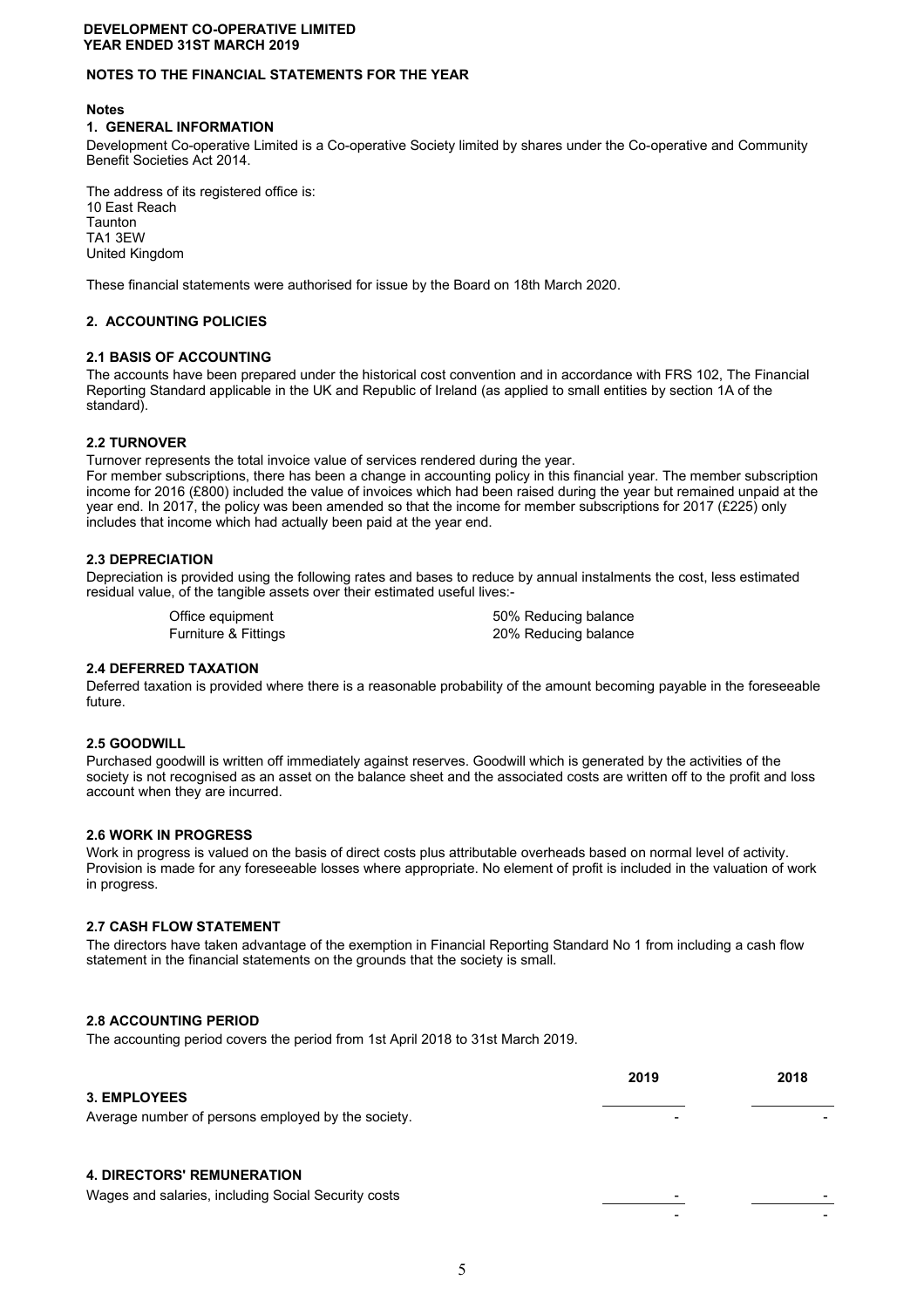## **NOTES TO THE FINANCIAL STATEMENTS FOR THE YEAR**

#### **Notes**

#### **1. GENERAL INFORMATION**

Development Co-operative Limited is a Co-operative Society limited by shares under the Co-operative and Community Benefit Societies Act 2014.

The address of its registered office is: 10 East Reach Taunton TA1 3EW United Kingdom

These financial statements were authorised for issue by the Board on 18th March 2020.

## **2. ACCOUNTING POLICIES**

#### **2.1 BASIS OF ACCOUNTING**

The accounts have been prepared under the historical cost convention and in accordance with FRS 102, The Financial Reporting Standard applicable in the UK and Republic of Ireland (as applied to small entities by section 1A of the standard).

#### **2.2 TURNOVER**

Turnover represents the total invoice value of services rendered during the year.

For member subscriptions, there has been a change in accounting policy in this financial year. The member subscription income for 2016 (£800) included the value of invoices which had been raised during the year but remained unpaid at the year end. In 2017, the policy was been amended so that the income for member subscriptions for 2017 (£225) only includes that income which had actually been paid at the year end.

#### **2.3 DEPRECIATION**

Depreciation is provided using the following rates and bases to reduce by annual instalments the cost, less estimated residual value, of the tangible assets over their estimated useful lives:-

Office equipment 60% Reducing balance Furniture & Fittings 20% Reducing balance

#### **2.4 DEFERRED TAXATION**

Deferred taxation is provided where there is a reasonable probability of the amount becoming payable in the foreseeable future.

#### **2.5 GOODWILL**

Purchased goodwill is written off immediately against reserves. Goodwill which is generated by the activities of the society is not recognised as an asset on the balance sheet and the associated costs are written off to the profit and loss account when they are incurred.

#### **2.6 WORK IN PROGRESS**

Work in progress is valued on the basis of direct costs plus attributable overheads based on normal level of activity. Provision is made for any foreseeable losses where appropriate. No element of profit is included in the valuation of work in progress.

#### **2.7 CASH FLOW STATEMENT**

The directors have taken advantage of the exemption in Financial Reporting Standard No 1 from including a cash flow statement in the financial statements on the grounds that the society is small.

## **2.8 ACCOUNTING PERIOD**

The accounting period covers the period from 1st April 2018 to 31st March 2019.

| <b>3. EMPLOYEES</b>                                                                      | 2019 | 2018 |
|------------------------------------------------------------------------------------------|------|------|
| Average number of persons employed by the society.                                       |      |      |
| <b>4. DIRECTORS' REMUNERATION</b><br>Wages and salaries, including Social Security costs | -    |      |
|                                                                                          |      |      |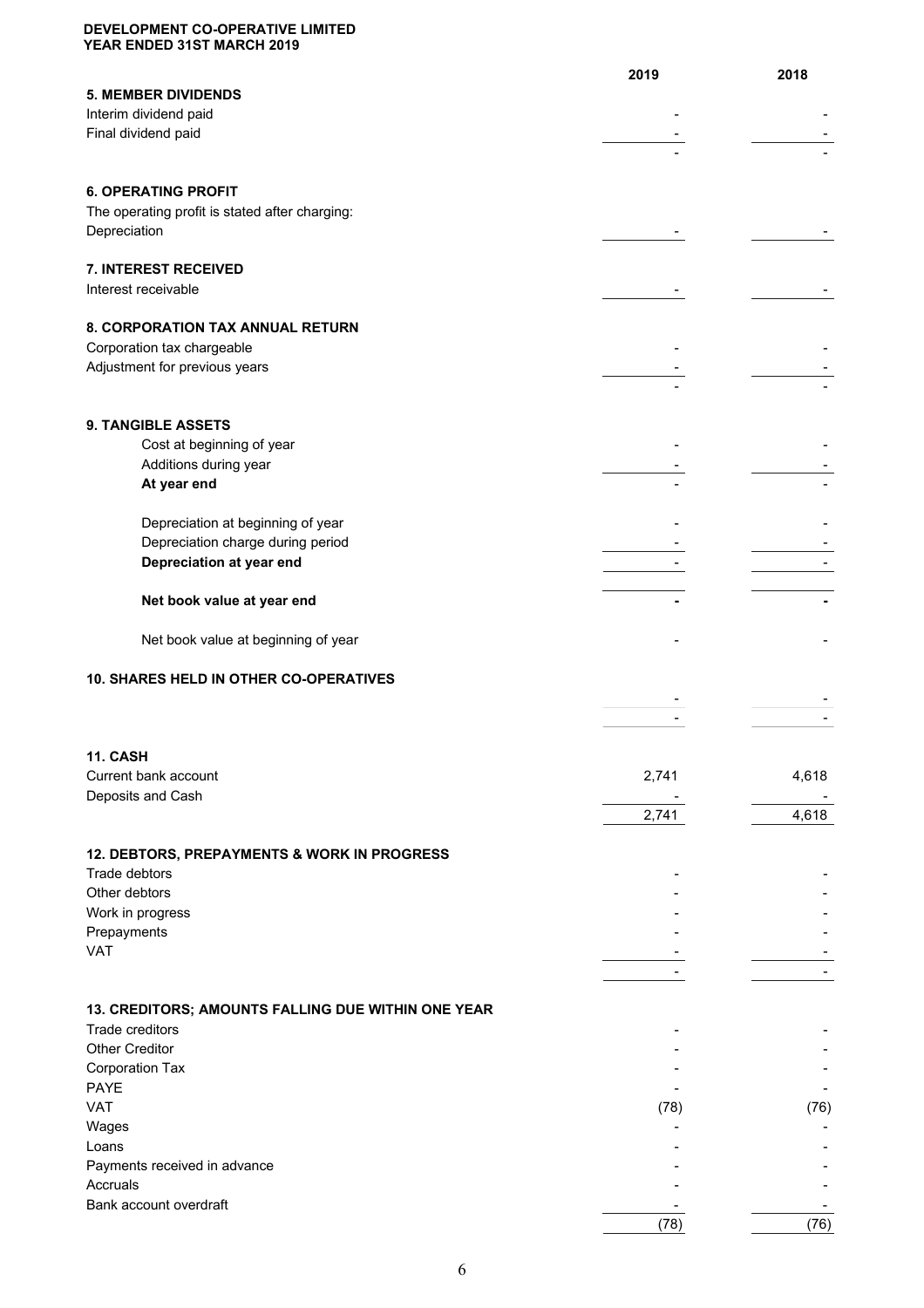|                                                    | 2019  | 2018  |
|----------------------------------------------------|-------|-------|
| <b>5. MEMBER DIVIDENDS</b>                         |       |       |
| Interim dividend paid                              |       |       |
| Final dividend paid                                |       |       |
|                                                    |       |       |
|                                                    |       |       |
| <b>6. OPERATING PROFIT</b>                         |       |       |
| The operating profit is stated after charging:     |       |       |
| Depreciation                                       |       |       |
| 7. INTEREST RECEIVED                               |       |       |
| Interest receivable                                |       |       |
|                                                    |       |       |
| 8. CORPORATION TAX ANNUAL RETURN                   |       |       |
| Corporation tax chargeable                         |       |       |
| Adjustment for previous years                      |       |       |
|                                                    |       |       |
| 9. TANGIBLE ASSETS                                 |       |       |
| Cost at beginning of year                          |       |       |
| Additions during year                              |       |       |
| At year end                                        |       |       |
|                                                    |       |       |
| Depreciation at beginning of year                  |       |       |
| Depreciation charge during period                  |       |       |
| Depreciation at year end                           |       |       |
|                                                    |       |       |
| Net book value at year end                         |       |       |
| Net book value at beginning of year                |       |       |
|                                                    |       |       |
| 10. SHARES HELD IN OTHER CO-OPERATIVES             |       |       |
|                                                    |       |       |
|                                                    |       |       |
|                                                    |       |       |
| <b>11. CASH</b>                                    |       |       |
| Current bank account<br>Deposits and Cash          | 2,741 | 4,618 |
|                                                    | 2,741 | 4,618 |
|                                                    |       |       |
| 12. DEBTORS, PREPAYMENTS & WORK IN PROGRESS        |       |       |
| Trade debtors                                      |       |       |
| Other debtors                                      |       |       |
| Work in progress                                   |       |       |
| Prepayments                                        |       |       |
| <b>VAT</b>                                         |       |       |
|                                                    |       |       |
| 13. CREDITORS; AMOUNTS FALLING DUE WITHIN ONE YEAR |       |       |
| Trade creditors                                    |       |       |
| <b>Other Creditor</b>                              |       |       |
| Corporation Tax                                    |       |       |
| <b>PAYE</b>                                        |       |       |
| <b>VAT</b>                                         | (78)  | (76)  |
| Wages                                              |       |       |
| Loans                                              |       |       |
| Payments received in advance<br>Accruals           |       |       |
| Bank account overdraft                             |       |       |
|                                                    | (78)  | (76)  |
|                                                    |       |       |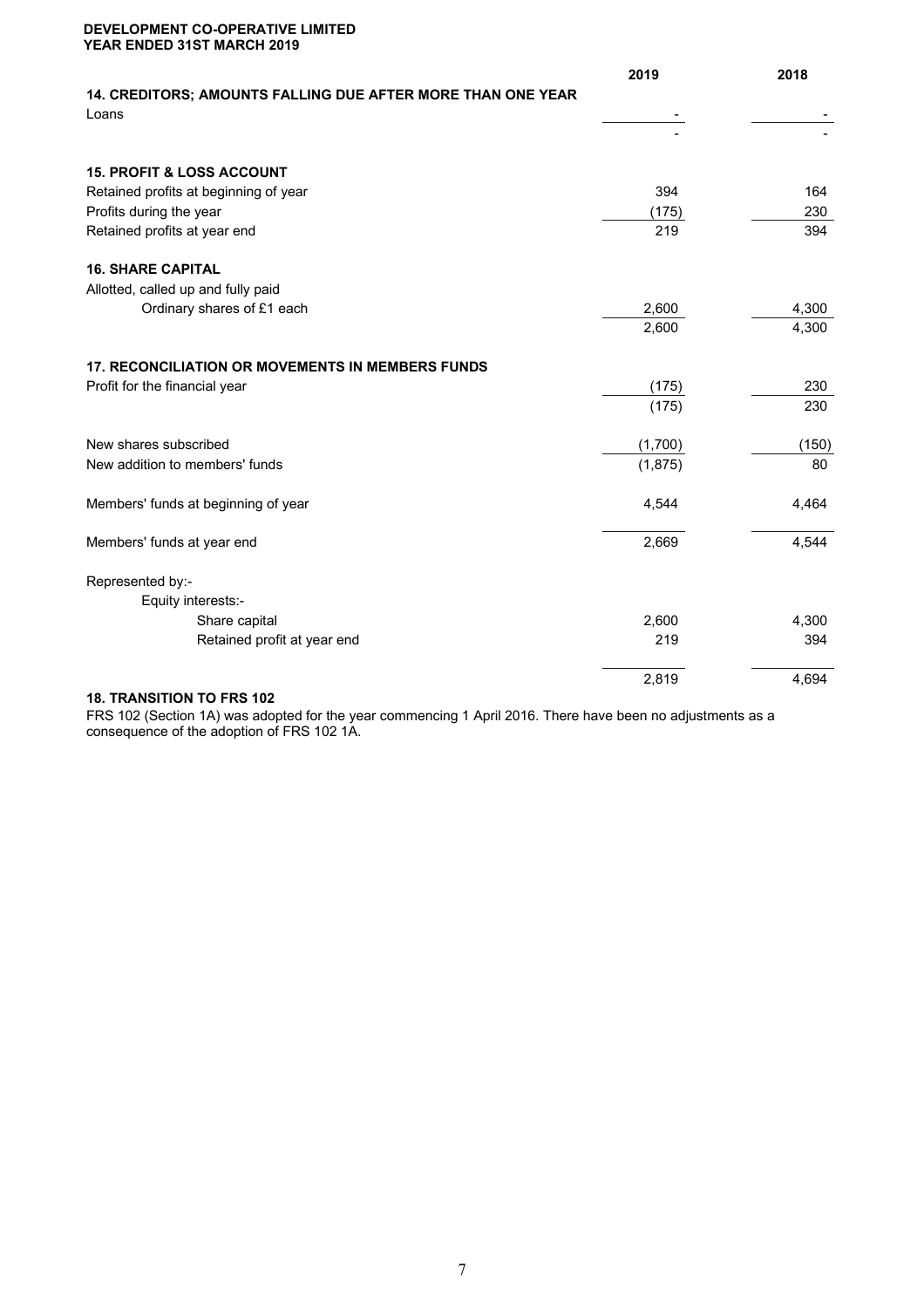|                                                                      | 2019    | 2018  |
|----------------------------------------------------------------------|---------|-------|
| 14. CREDITORS; AMOUNTS FALLING DUE AFTER MORE THAN ONE YEAR<br>Loans |         |       |
|                                                                      |         |       |
|                                                                      |         |       |
| <b>15. PROFIT &amp; LOSS ACCOUNT</b>                                 |         |       |
| Retained profits at beginning of year                                | 394     | 164   |
| Profits during the year                                              | (175)   | 230   |
| Retained profits at year end                                         | 219     | 394   |
| <b>16. SHARE CAPITAL</b>                                             |         |       |
| Allotted, called up and fully paid                                   |         |       |
| Ordinary shares of £1 each                                           | 2,600   | 4,300 |
|                                                                      | 2,600   | 4,300 |
| <b>17. RECONCILIATION OR MOVEMENTS IN MEMBERS FUNDS</b>              |         |       |
| Profit for the financial year                                        | (175)   | 230   |
|                                                                      | (175)   | 230   |
| New shares subscribed                                                | (1,700) | (150) |
| New addition to members' funds                                       | (1,875) | 80    |
| Members' funds at beginning of year                                  | 4,544   | 4,464 |
| Members' funds at year end                                           | 2,669   | 4,544 |
| Represented by:-                                                     |         |       |
| Equity interests:-                                                   |         |       |
| Share capital                                                        | 2,600   | 4,300 |
| Retained profit at year end                                          | 219     | 394   |
|                                                                      | 2,819   | 4,694 |
|                                                                      |         |       |

#### **18. TRANSITION TO FRS 102**

FRS 102 (Section 1A) was adopted for the year commencing 1 April 2016. There have been no adjustments as a consequence of the adoption of FRS 102 1A.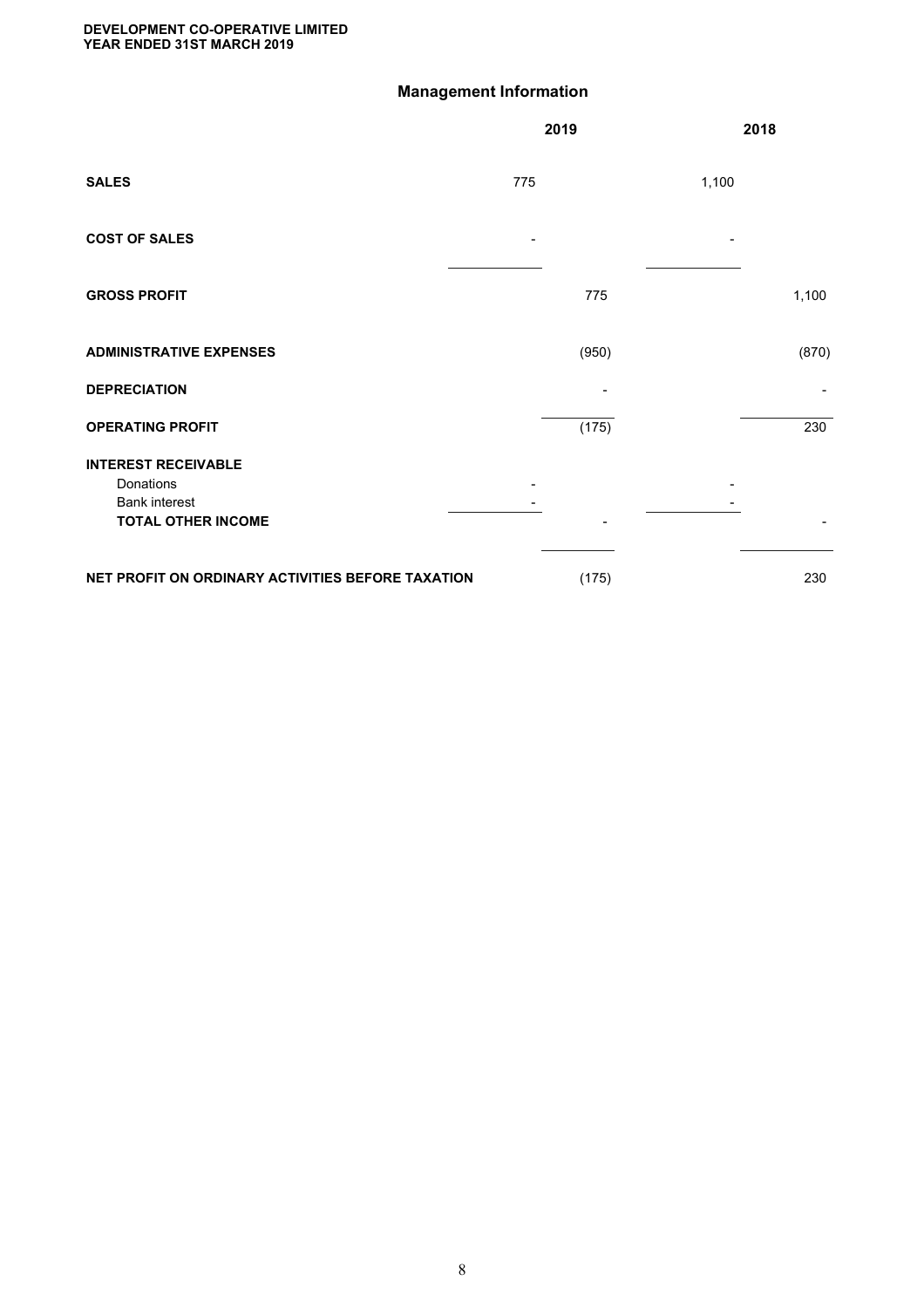# **Management Information**

|                                                                                              |     | 2019  |       | 2018  |
|----------------------------------------------------------------------------------------------|-----|-------|-------|-------|
| <b>SALES</b>                                                                                 | 775 |       | 1,100 |       |
| <b>COST OF SALES</b>                                                                         |     |       |       |       |
| <b>GROSS PROFIT</b>                                                                          |     | 775   |       | 1,100 |
| <b>ADMINISTRATIVE EXPENSES</b>                                                               |     | (950) |       | (870) |
| <b>DEPRECIATION</b>                                                                          |     |       |       |       |
| <b>OPERATING PROFIT</b>                                                                      |     | (175) |       | 230   |
| <b>INTEREST RECEIVABLE</b><br>Donations<br><b>Bank interest</b><br><b>TOTAL OTHER INCOME</b> |     |       |       |       |
| NET PROFIT ON ORDINARY ACTIVITIES BEFORE TAXATION                                            |     | (175) |       | 230   |